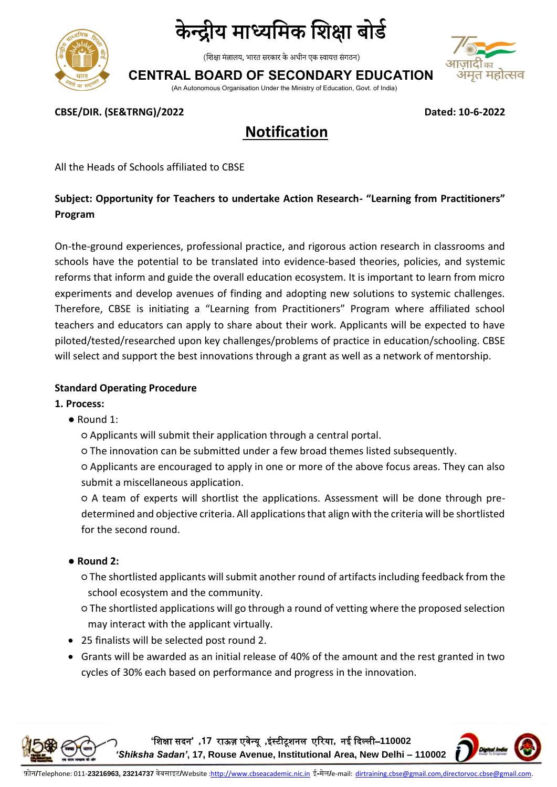

(शिक्षा मंत्रालय, भारत सरकार के अधीन एक स्वायत्त संगठन)

**CENTRAL BOARD OF SECONDARY EDUCATION**



(An Autonomous Organisation Under the Ministry of Education, Govt. of India)

**CBSE/DIR. (SE&TRNG)/2022 Dated: 10-6-2022**

## **Notification**

All the Heads of Schools affiliated to CBSE

#### **Subject: Opportunity for Teachers to undertake Action Research- "Learning from Practitioners" Program**

On-the-ground experiences, professional practice, and rigorous action research in classrooms and schools have the potential to be translated into evidence-based theories, policies, and systemic reforms that inform and guide the overall education ecosystem. It is important to learn from micro experiments and develop avenues of finding and adopting new solutions to systemic challenges. Therefore, CBSE is initiating a "Learning from Practitioners" Program where affiliated school teachers and educators can apply to share about their work. Applicants will be expected to have piloted/tested/researched upon key challenges/problems of practice in education/schooling. CBSE will select and support the best innovations through a grant as well as a network of mentorship.

#### **Standard Operating Procedure**

- **1. Process:**
	- Round 1:
		- Applicants will submit their application through a central portal.
		- The innovation can be submitted under a few broad themes listed subsequently.

○ Applicants are encouraged to apply in one or more of the above focus areas. They can also submit a miscellaneous application.

○ A team of experts will shortlist the applications. Assessment will be done through predetermined and objective criteria. All applications that align with the criteria will be shortlisted for the second round.

- **Round 2:** 
	- The shortlisted applicants will submit another round of artifacts including feedback from the school ecosystem and the community.
	- The shortlisted applications will go through a round of vetting where the proposed selection may interact with the applicant virtually.
- 25 finalists will be selected post round 2.
- Grants will be awarded as an initial release of 40% of the amount and the rest granted in two cycles of 30% each based on performance and progress in the innovation.

**'**शिक्षा सदन**' ,17** राऊज़ एवेन्यू **,**इंस्टीटूिनल एररया**,** नई ददल्ली–**110002** 

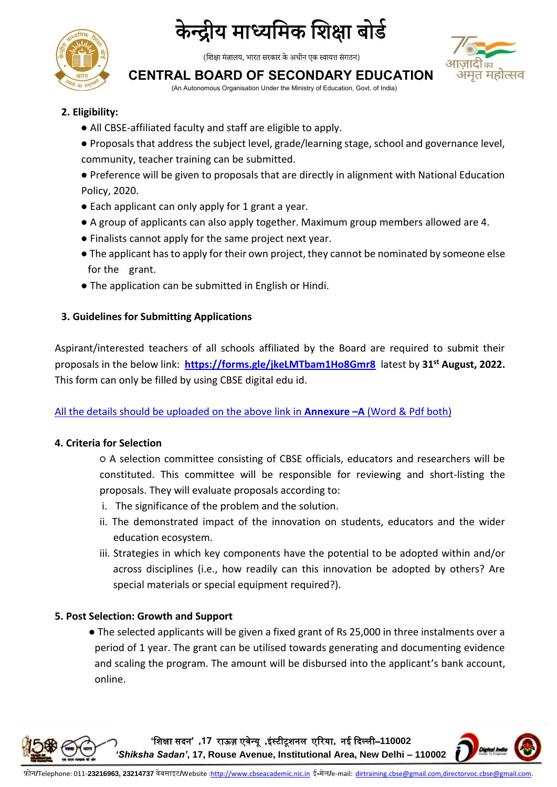

(शिक्षा मंत्रालय, भारत सरकार के अधीन एक स्वायत्त संगठन)

# ा महोत्सव

### **CENTRAL BOARD OF SECONDARY EDUCATION**

(An Autonomous Organisation Under the Ministry of Education, Govt. of India)

- **2. Eligibility:** 
	- All CBSE-affiliated faculty and staff are eligible to apply.
	- Proposals that address the subject level, grade/learning stage, school and governance level, community, teacher training can be submitted.
	- Preference will be given to proposals that are directly in alignment with National Education Policy, 2020.
	- Each applicant can only apply for 1 grant a year.
	- A group of applicants can also apply together. Maximum group members allowed are 4.
	- Finalists cannot apply for the same project next year.
	- The applicant has to apply for their own project, they cannot be nominated by someone else for the grant.
	- The application can be submitted in English or Hindi.

#### **3. Guidelines for Submitting Applications**

Aspirant/interested teachers of all schools affiliated by the Board are required to submit their proposals in the below link: **<https://forms.gle/jkeLMTbam1Ho8Gmr8>** latest by **31st August, 2022.**  This form can only be filled by using CBSE digital edu id.

#### All the details should be uploaded on the above link in **Annexure –A** (Word & Pdf both)

#### **4. Criteria for Selection**

○ A selection committee consisting of CBSE officials, educators and researchers will be constituted. This committee will be responsible for reviewing and short-listing the proposals. They will evaluate proposals according to:

- i. The significance of the problem and the solution.
- ii. The demonstrated impact of the innovation on students, educators and the wider education ecosystem.
- iii. Strategies in which key components have the potential to be adopted within and/or across disciplines (i.e., how readily can this innovation be adopted by others? Are special materials or special equipment required?).

#### **5. Post Selection: Growth and Support**

● The selected applicants will be given a fixed grant of Rs 25,000 in three instalments over a period of 1 year. The grant can be utilised towards generating and documenting evidence and scaling the program. The amount will be disbursed into the applicant's bank account, online.

**'**शिक्षा सदन**' ,17** राऊज़ एवेन्यू **,**इंस्टीटूिनल एररया**,** नई ददल्ली–**110002**  *'Shiksha Sadan'***, 17, Rouse Avenue, Institutional Area, New Delhi – 110002**

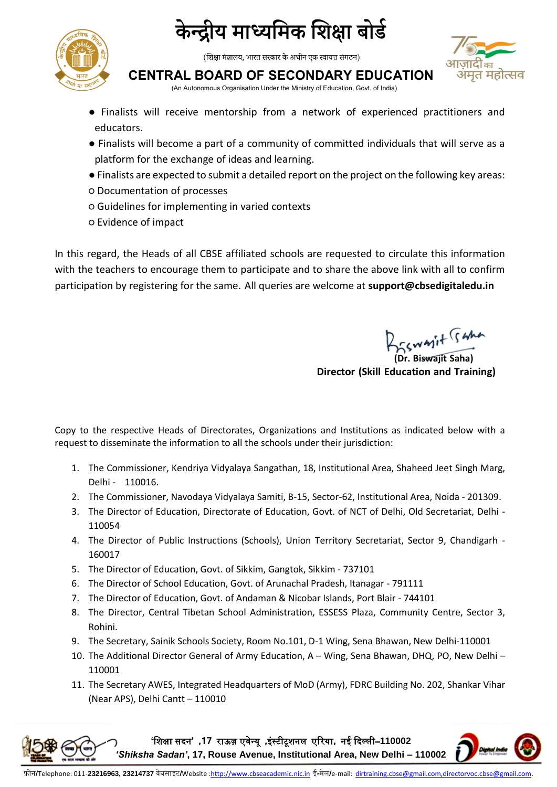

(शिक्षा मंत्रालय, भारत सरकार के अधीन एक स्वायत्त संगठन)

#### **CENTRAL BOARD OF SECONDARY EDUCATION**

(An Autonomous Organisation Under the Ministry of Education, Govt. of India)

- Finalists will receive mentorship from a network of experienced practitioners and educators.
- Finalists will become a part of a community of committed individuals that will serve as a platform for the exchange of ideas and learning.
- Finalists are expected to submit a detailed report on the project on the following key areas:
- Documentation of processes
- Guidelines for implementing in varied contexts
- Evidence of impact

In this regard, the Heads of all CBSE affiliated schools are requested to circulate this information with the teachers to encourage them to participate and to share the above link with all to confirm participation by registering for the same. All queries are welcome at **support@cbsedigitaledu.in**

**(Dr. Biswajit Saha)**

**Director (Skill Education and Training)**

Copy to the respective Heads of Directorates, Organizations and Institutions as indicated below with a request to disseminate the information to all the schools under their jurisdiction:

- 1. The Commissioner, Kendriya Vidyalaya Sangathan, 18, Institutional Area, Shaheed Jeet Singh Marg, Delhi - 110016.
- 2. The Commissioner, Navodaya Vidyalaya Samiti, B-15, Sector-62, Institutional Area, Noida 201309.
- 3. The Director of Education, Directorate of Education, Govt. of NCT of Delhi, Old Secretariat, Delhi 110054
- 4. The Director of Public Instructions (Schools), Union Territory Secretariat, Sector 9, Chandigarh 160017
- 5. The Director of Education, Govt. of Sikkim, Gangtok, Sikkim 737101
- 6. The Director of School Education, Govt. of Arunachal Pradesh, Itanagar 791111
- 7. The Director of Education, Govt. of Andaman & Nicobar Islands, Port Blair 744101
- 8. The Director, Central Tibetan School Administration, ESSESS Plaza, Community Centre, Sector 3, Rohini.
- 9. The Secretary, Sainik Schools Society, Room No.101, D-1 Wing, Sena Bhawan, New Delhi-110001
- 10. The Additional Director General of Army Education, A Wing, Sena Bhawan, DHQ, PO, New Delhi 110001
- 11. The Secretary AWES, Integrated Headquarters of MoD (Army), FDRC Building No. 202, Shankar Vihar (Near APS), Delhi Cantt – 110010

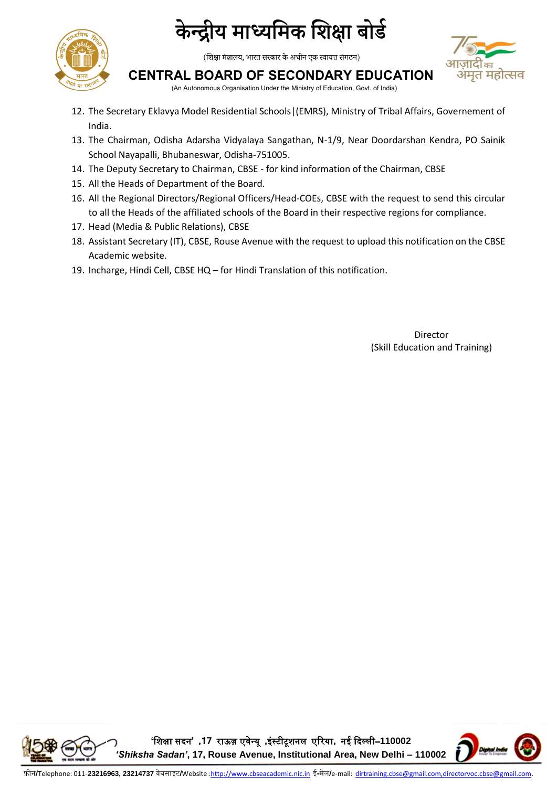

(शिक्षा मंत्रालय, भारत सरकार के अधीन एक स्वायत्त संगठन)



#### **CENTRAL BOARD OF SECONDARY EDUCATION**

(An Autonomous Organisation Under the Ministry of Education, Govt. of India)

- 12. The Secretary Eklavya Model Residential Schools|(EMRS), Ministry of Tribal Affairs, Governement of India.
- 13. The Chairman, Odisha Adarsha Vidyalaya Sangathan, N-1/9, Near Doordarshan Kendra, PO Sainik School Nayapalli, Bhubaneswar, Odisha-751005.
- 14. The Deputy Secretary to Chairman, CBSE for kind information of the Chairman, CBSE
- 15. All the Heads of Department of the Board.
- 16. All the Regional Directors/Regional Officers/Head-COEs, CBSE with the request to send this circular to all the Heads of the affiliated schools of the Board in their respective regions for compliance.
- 17. Head (Media & Public Relations), CBSE
- 18. Assistant Secretary (IT), CBSE, Rouse Avenue with the request to upload this notification on the CBSE Academic website.
- 19. Incharge, Hindi Cell, CBSE HQ for Hindi Translation of this notification.

Director (Skill Education and Training)